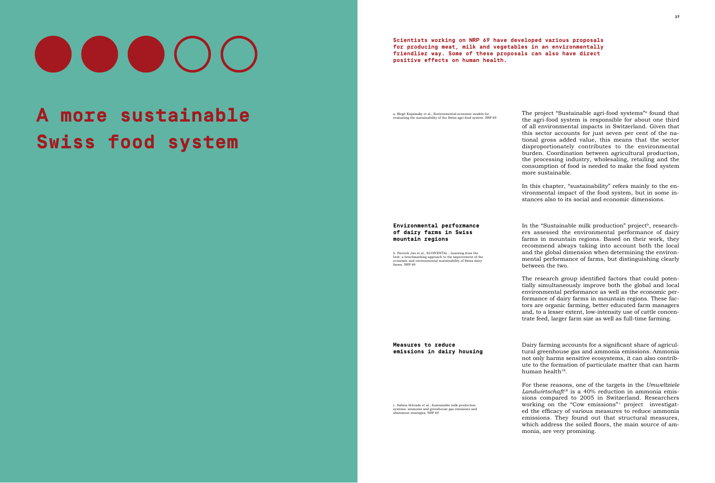# $\bigcirc$   $\bigcirc$   $\bigcirc$   $\bigcirc$

## **A more sustainable Swiss food system**

The project "Sustainable agri-food systems" found that the agri-food system is responsible for about one third of all environmental impacts in Switzerland. Given that this sector accounts for just seven per cent of the national gross added value, this means that the sector disproportionately contributes to the environmental burden. Coordination between agricultural production, the processing industry, wholesaling, retailing and the consumption of food is needed to make the food system more sustainable.

In the "Sustainable milk production" project<sup>b</sup>, researchers assessed the environmental performance of dairy farms in mountain regions. Based on their work, they recommend always taking into account both the local and the global dimension when determining the environmental performance of farms, but distinguishing clearly between the two.

The research group identified factors that could potentially simultaneously improve both the global and local environmental performance as well as the economic performance of dairy farms in mountain regions. These factors are organic farming, better educated farm managers and, to a lesser extent, low-intensity use of cattle concentrate feed, larger farm size as well as full-time farming.

Dairy farming accounts for a significant share of agricultural greenhouse gas and ammonia emissions. Ammonia not only harms sensitive ecosystems, it can also contribute to the formation of particulate matter that can harm human health $18$ .

In this chapter, "sustainability" refers mainly to the environmental impact of the food system, but in some instances also to its social and economic dimensions.

c. Sabine Schrade et al., Sustainable milk production [systems: ammonia and greenhouse gas emissions and](http://www.nrp69.ch/en/projects/how-can-food-become-more-environmentally-friendly/project-cow-emissions)  [abatement strategies. NRP 69](http://www.nrp69.ch/en/projects/how-can-food-become-more-environmentally-friendly/project-cow-emissions) 

For these reasons, one of the targets in the *Umweltziele Landwirtschaft*18 is a 40% reduction in ammonia emissions compared to 2005 in Switzerland. Researchers working on the "Cow emissions" c project investigated the efficacy of various measures to reduce ammonia emissions. They found out that structural measures, which address the soiled floors, the main source of ammonia, are very promising.

**Environmental performance of dairy farms in Swiss mountain regions**

**Measures to reduce emissions in dairy housing**

**Scientists working on NRP 69 have developed various proposals for producing meat, milk and vegetables in an environmentally friendlier way. Some of these proposals can also have direct positive effects on human health.** 

a. Birgit Kopainsky et al., Environmental-economic models for<br>evaluating the sustainability of the Swiss agri-food system. NRP 69

[b. Pierrick Jan et al., ECON'ENTAL - Learning from the](http://www.nrp69.ch/en/projects/how-can-food-become-more-environmentally-friendly/project-sustainable-milk-production)  [best: a benchmarking approach to the improvement of the](http://www.nrp69.ch/en/projects/how-can-food-become-more-environmentally-friendly/project-sustainable-milk-production) economic and environmental sustainability of Swiss dairy [farms. NRP 69](http://www.nrp69.ch/en/projects/how-can-food-become-more-environmentally-friendly/project-sustainable-milk-production)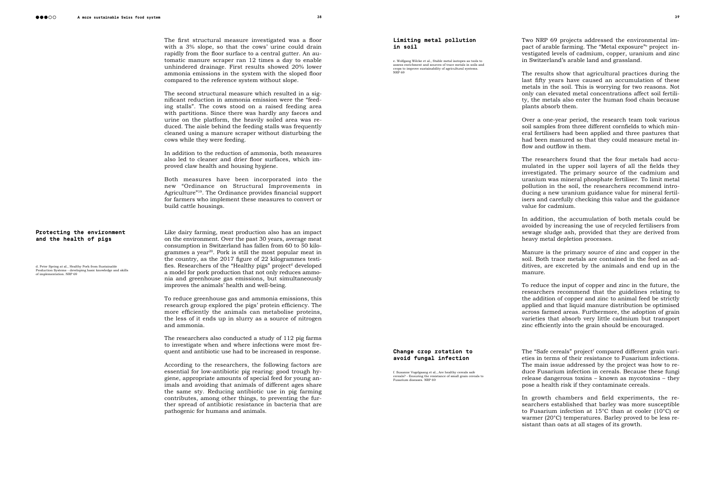The first structural measure investigated was a floor with a 3% slope, so that the cows' urine could drain rapidly from the floor surface to a central gutter. An automatic manure scraper ran 12 times a day to enable unhindered drainage. First results showed 20% lower ammonia emissions in the system with the sloped floor compared to the reference system without slope.

The second structural measure which resulted in a significant reduction in ammonia emission were the "feeding stalls". The cows stood on a raised feeding area with partitions. Since there was hardly any faeces and urine on the platform, the heavily soiled area was reduced. The aisle behind the feeding stalls was frequently cleaned using a manure scraper without disturbing the cows while they were feeding.

In addition to the reduction of ammonia, both measures also led to cleaner and drier floor surfaces, which improved claw health and housing hygiene.

Both measures have been incorporated into the new "Ordinance on Structural Improvements in Agriculture"<sup>19</sup>. The Ordinance provides financial support for farmers who implement these measures to convert or build cattle housings.

Two NRP 69 projects addressed the environmental impact of arable farming. The "Metal exposure"e project investigated levels of cadmium, copper, uranium and zinc in Switzerland's arable land and grassland.

Like dairy farming, meat production also has an impact on the environment. Over the past 30 years, average meat consumption in Switzerland has fallen from 60 to 50 kilogrammes a year<sup>20</sup>. Pork is still the most popular meat in the country, as the 2017 figure of 22 kilogrammes testifies. Researchers of the "Healthy pigs" project<sup>d</sup> developed a model for pork production that not only reduces ammonia and greenhouse gas emissions, but simultaneously improves the animals' health and well-being.

Over a one-year period, the research team took various soil samples from three different cornfields to which mineral fertilisers had been applied and three pastures that had been manured so that they could measure metal inflow and outflow in them.

To reduce greenhouse gas and ammonia emissions, this research group explored the pigs' protein efficiency. The more efficiently the animals can metabolise proteins, the less of it ends up in slurry as a source of nitrogen and ammonia.

The researchers also conducted a study of 112 pig farms to investigate when and where infections were most frequent and antibiotic use had to be increased in response.

Manure is the primary source of zinc and copper in the soil. Both trace metals are contained in the feed as additives, are excreted by the animals and end up in the

According to the researchers, the following factors are essential for low-antibiotic pig rearing: good trough hygiene, appropriate amounts of special feed for young animals and avoiding that animals of different ages share the same sty. Reducing antibiotic use in pig farming contributes, among other things, to preventing the further spread of antibiotic resistance in bacteria that are pathogenic for humans and animals.

The "Safe cereals" project<sup>f</sup> compared different grain varieties in terms of their resistance to Fusarium infections. The main issue addressed by the project was how to reduce Fusarium infection in cereals. Because these fungi release dangerous toxins – known as mycotoxins – they pose a health risk if they contaminate cereals.

## **Protecting the environment and the health of pigs**

d. Peter Spring at al., Healthy Pork from Sustainable<br>Production Systems - developing basic knowledge and skills<br>of implementation. NRP 69

In growth chambers and field experiments, the researchers established that barley was more susceptible to Fusarium infection at 15°C than at cooler (10°C) or warmer (20°C) temperatures. Barley proved to be less resistant than oats at all stages of its growth.

e. Wolfgang Wilcke et al., Stable metal isotopes as tools to [assess enrichment and sources of trace metals in soils and](http://www.nrp69.ch/en/projects/how-can-healthy-products-remain-affordable/project-metal-exposure)  [crops to improve sustainability of agricultural systems.](http://www.nrp69.ch/en/projects/how-can-healthy-products-remain-affordable/project-metal-exposure)  [NRP 69](http://www.nrp69.ch/en/projects/how-can-healthy-products-remain-affordable/project-metal-exposure)

The results show that agricultural practices during the last fifty years have caused an accumulation of these metals in the soil. This is worrying for two reasons. Not only can elevated metal concentrations affect soil fertility, the metals also enter the human food chain because plants absorb them.

The researchers found that the four metals had accumulated in the upper soil layers of all the fields they investigated. The primary source of the cadmium and uranium was mineral phosphate fertiliser. To limit metal pollution in the soil, the researchers recommend introducing a new uranium guidance value for mineral fertilisers and carefully checking this value and the guidance

value for cadmium.

In addition, the accumulation of both metals could be avoided by increasing the use of recycled fertilisers from sewage sludge ash, provided that they are derived from heavy metal depletion processes.

manure.

To reduce the input of copper and zinc in the future, the researchers recommend that the guidelines relating to the addition of copper and zinc to animal feed be strictly applied and that liquid manure distribution be optimised across farmed areas. Furthermore, the adoption of grain varieties that absorb very little cadmium but transport zinc efficiently into the grain should be encouraged.

#### **Limiting metal pollution in soil**

**Change crop rotation to avoid fungal infection**

f. Susanne Vogelgsang et al., Are healthy cereals safe<br>cereals? - Ensuring the resistance of small grain cereals to<br>[Fusarium diseases. NRP 69](http://www.nrp69.ch/en/projects/how-can-healthy-products-remain-affordable/project-safe-cereals)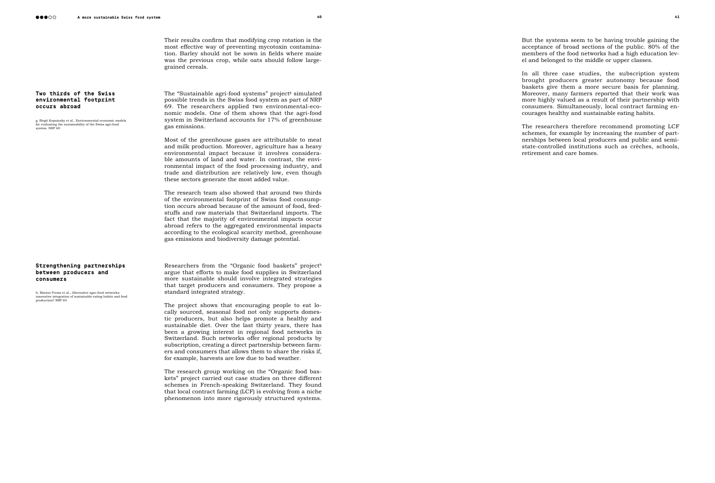Their results confirm that modifying crop rotation is the most effective way of preventing mycotoxin contamina tion. Barley should not be sown in fields where maize was the previous crop, while oats should follow largegrained cereals.

The "Sustainable agri-food systems" project<sup>g</sup> simulated possible trends in the Swiss food system as part of NRP 69. The researchers applied two environmental-eco nomic models. One of them shows that the agri-food system in Switzerland accounts for  $17\%$  of greenhouse gas emissions.

Most of the greenhouse gases are attributable to meat and milk production. Moreover, agriculture has a heavy environmental impact because it involves considera ble amounts of land and water. In contrast, the envi ronmental impact of the food processing industry, and trade and distribution are relatively low, even though these sectors generate the most added value.

The research team also showed that around two thirds of the environmental footprint of Swiss food consumption occurs abroad because of the amount of food, feed stuffs and raw materials that Switzerland imports. The fact that the majority of environmental impacts occur abroad refers to the aggregated environmental impacts according to the ecological scarcity method, greenhouse gas emissions and biodiversity damage potential.

Researchers from the "Organic food baskets" project h argue that efforts to make food supplies in Switzerland more sustainable should involve integrated strategies that target producers and consumers. They propose a standard integrated strategy.

The project shows that encouraging people to eat lo cally sourced, seasonal food not only supports domes tic producers, but also helps promote a healthy and sustainable diet. Over the last thirty years, there has been a growing interest in regional food networks in Switzerland. Such networks offer regional products by subscription, creating a direct partnership between farm ers and consumers that allows them to share the risks if, for example, harvests are low due to bad weather.

The research group working on the "Organic food bas kets" project carried out case studies on three different schemes in French-speaking Switzerland. They found that local contract farming (LCF) is evolving from a niche phenomenon into more rigorously structured systems.

**Two thirds of the Swiss environmental footprint** 

g. Birgit Kopainsky et al., Environmental-economic models<br>for evaluating the sustainability of the Swiss agri-food

**occurs abroad**

[system. NRP 69](http://www.nrp69.ch/en/projects/how-can-food-become-more-environmentally-friendly/project-sustainable-agri-food-systems)

## **Strengthening partnerships between producers and consumers**

[h. Marion Fresia et al., Alternative agro-food networks:](http://www.nrp69.ch/en/projects/how-can-food-become-more-environmentally-friendly/project-organic-food-basket)  [innovative integration of sustainable eating habits and food](http://www.nrp69.ch/en/projects/how-can-food-become-more-environmentally-friendly/project-organic-food-basket)  [production? NRP 69](http://www.nrp69.ch/en/projects/how-can-food-become-more-environmentally-friendly/project-organic-food-basket) But the systems seem to be having trouble gaining the acceptance of broad sections of the public. 80% of the members of the food networks had a high education lev el and belonged to the middle or upper classes.

In all three case studies, the subscription system brought producers greater autonomy because food baskets give them a more secure basis for planning. Moreover, many farmers reported that their work was more highly valued as a result of their partnership with consumers. Simultaneously, local contract farming encourages healthy and sustainable eating habits.

The researchers therefore recommend promoting LCF schemes, for example by increasing the number of part nerships between local producers and public and semistate-controlled institutions such as crèches, schools, retirement and care homes.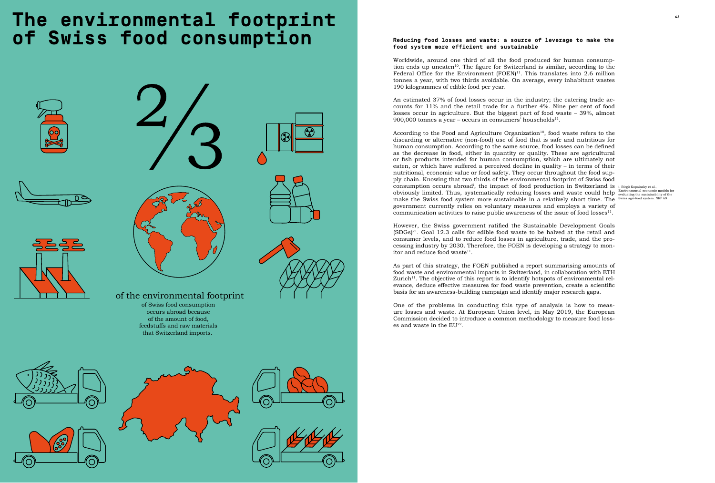## **The environmental footprint**  $\blacksquare$ **of Swiss food consumption**









of the environmental footprint of Swiss food consumption occurs abroad because of the amount of food, feedstuffs and raw materials that Switzerland imports.











An estimated 37% of food losses occur in the industry; the catering trade accounts for 11% and the retail trade for a further 4%. Nine per cent of food losses occur in agriculture. But the biggest part of food waste – 39%, almost 900,000 tonnes a year – occurs in consumers' households $^{11}$ .

consumption occurs abroad<sup>i</sup>, the impact of food production in Switzerland is i. Birgit Kopainsky et al., obviously limited. Thus, systematically reducing losses and waste could help Environmental-economic models for<br>make the Swiss food system more sustainable in a relatively short time. The Swiss agri-food system. NRP 69 According to the Food and Agriculture Organization<sup>10</sup>, food waste refers to the discarding or alternative (non-food) use of food that is safe and nutritious for human consumption. According to the same source, food losses can be defined as the decrease in food, either in quantity or quality. These are agricultural or fish products intended for human consumption, which are ultimately not eaten, or which have suffered a perceived decline in quality – in terms of their nutritional, economic value or food safety. They occur throughout the food supply chain. Knowing that two thirds of the environmental footprint of Swiss food make the Swiss food system more sustainable in a relatively short time. The government currently relies on voluntary measures and employs a variety of communication activities to raise public awareness of the issue of food losses $11$ .

However, the Swiss government ratified the Sustainable Development Goals  $(SDGs)^{21}$ . Goal 12.3 calls for edible food waste to be halved at the retail and consumer levels, and to reduce food losses in agriculture, trade, and the processing industry by 2030. Therefore, the FOEN is developing a strategy to monitor and reduce food waste<sup>11</sup>.

## **Reducing food losses and waste: a source of leverage to make the food system more efficient and sustainable**

Worldwide, around one third of all the food produced for human consumption ends up uneaten<sup>10</sup>. The figure for Switzerland is similar, according to the Federal Office for the Environment (FOEN)<sup>11</sup>. This translates into 2.6 million tonnes a year, with two thirds avoidable. On average, every inhabitant wastes 190 kilogrammes of edible food per year.

One of the problems in conducting this type of analysis is how to measure losses and waste. At European Union level, in May 2019, the European Commission decided to introduce a common methodology to measure food losses and waste in the  $EU^{22}$ .

As part of this strategy, the FOEN published a report summarising amounts of food waste and environmental impacts in Switzerland, in collaboration with ETH Zurich<sup>11</sup>. The objective of this report is to identify hotspots of environmental relevance, deduce effective measures for food waste prevention, create a scientific basis for an awareness-building campaign and identify major research gaps.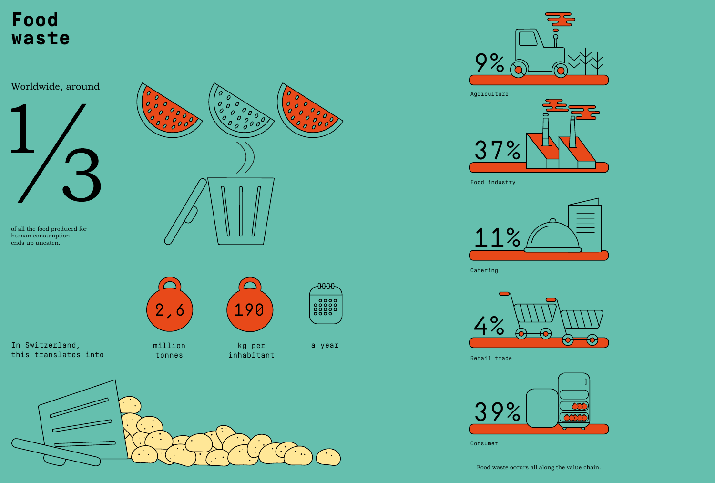

Retail trade





Consumer

Catering

Food industry

0



Agriculture









## **Food waste**

of all the food produced for human consumption ends up uneaten.



million tonnes



kg per inhabitant



a year



Worldwide, around



In Switzerland, this translates into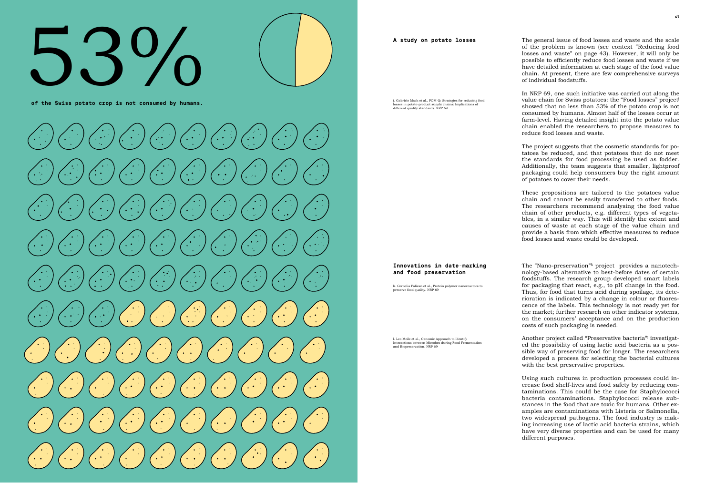## **A more sustainable Swiss food system 46 47** 53%

**of the Swiss potato crop is not consumed by humans.**



#### **A study on potato losses**

**Innovations in date-marking and food preservation** 

The general issue of food losses and waste and the scale of the problem is known (see context "Reducing food losses and waste" on page 43). However, it will only be possible to efficiently reduce food losses and waste if we have detailed information at each stage of the food value chain. At present, there are few comprehensive surveys of individual foodstuffs.

In NRP 69, one such initiative was carried out along the value chain for Swiss potatoes: the "Food losses" project<sup>j</sup> showed that no less than 53% of the potato crop is not consumed by humans. Almost half of the losses occur at farm-level. Having detailed insight into the potato value chain enabled the researchers to propose measures to reduce food losses and waste.

The project suggests that the cosmetic standards for po tatoes be reduced, and that potatoes that do not meet the standards for food processing be used as fodder. Additionally, the team suggests that smaller, lightproof packaging could help consumers buy the right amount of potatoes to cover their needs.

The "Nano-preservation" kproject provides a nanotechnology-based alternative to best-before dates of certain foodstuffs. The research group developed smart labels for packaging that react, e.g., to pH change in the food. Thus, for food that turns acid during spoilage, its dete rioration is indicated by a change in colour or fluorescence of the labels. This technology is not ready yet for the market; further research on other indicator systems, on the consumers' acceptance and on the production costs of such packaging is needed.

Another project called "Preservative bacteria"<sup>1</sup> investigated the possibility of using lactic acid bacteria as a pos sible way of preserving food for longer. The researchers developed a process for selecting the bacterial cultures with the best preservative properties.

These propositions are tailored to the potatoes value chain and cannot be easily transferred to other foods. The researchers recommend analysing the food value chain of other products, e.g. different types of vegeta bles, in a similar way. This will identify the extent and causes of waste at each stage of the value chain and provide a basis from which effective measures to reduce food losses and waste could be developed.

j. Gabriele Mack et al., POM-Q: Strategies for reducing food [losses in potato-product supply chains: Implications of](http://www.nrp69.ch/en/projects/how-can-food-become-more-environmentally-friendly/project-food-losses)  [different quality standards. NRP 69](http://www.nrp69.ch/en/projects/how-can-food-become-more-environmentally-friendly/project-food-losses)

> Using such cultures in production processes could in crease food shelf-lives and food safety by reducing con taminations. This could be the case for Staphylococci bacteria contaminations. Staphylococci release substances in the food that are toxic for humans. Other ex amples are contaminations with Listeria or Salmonella, two widespread pathogens. The food industry is mak ing increasing use of lactic acid bacteria strains, which have very diverse properties and can be used for many different purposes.

[k. Cornelia Palivan et al., Protein polymer nanoreactors to](http://www.nrp69.ch/en/projects/how-can-healthy-products-remain-affordable/project-nano-preservation) 

[preserve food quality. NRP 69](http://www.nrp69.ch/en/projects/how-can-healthy-products-remain-affordable/project-nano-preservation)

[l. Leo Meile et al., Genomic Approach to Identify](http://www.nrp69.ch/en/projects/how-can-healthy-products-remain-affordable/project-preservative-bacteria)  [Interactions between Microbes during Food Fermentation](http://www.nrp69.ch/en/projects/how-can-healthy-products-remain-affordable/project-preservative-bacteria) 

[and Biopreservation. NRP 69](http://www.nrp69.ch/en/projects/how-can-healthy-products-remain-affordable/project-preservative-bacteria)